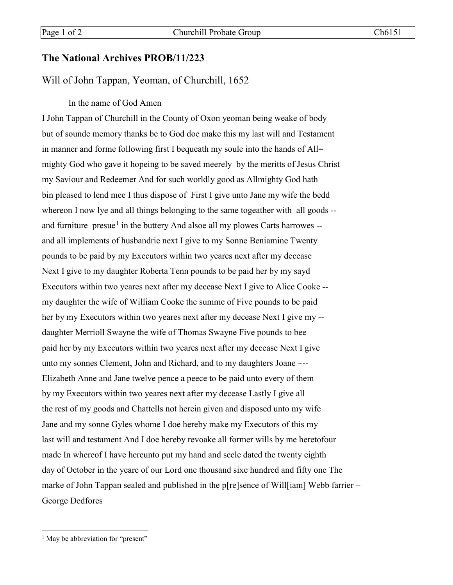## **The National Archives PROB/11/223**

## Will of John Tappan, Yeoman, of Churchill, 1652

## In the name of God Amen

I John Tappan of Churchill in the County of Oxon yeoman being weake of body but of sounde memory thanks be to God doe make this my last will and Testament in manner and forme following first I bequeath my soule into the hands of All= mighty God who gave it hopeing to be saved meerely by the meritts of Jesus Christ my Saviour and Redeemer And for such worldly good as Allmighty God hath – bin pleased to lend mee I thus dispose of First I give unto Jane my wife the bedd whereon I now lye and all things belonging to the same togeather with all goods -and furniture  $presue<sup>1</sup>$  $presue<sup>1</sup>$  $presue<sup>1</sup>$  in the buttery And alsoe all my plowes Carts harrowes -and all implements of husbandrie next I give to my Sonne Beniamine Twenty pounds to be paid by my Executors within two yeares next after my decease Next I give to my daughter Roberta Tenn pounds to be paid her by my sayd Executors within two yeares next after my decease Next I give to Alice Cooke - my daughter the wife of William Cooke the summe of Five pounds to be paid her by my Executors within two yeares next after my decease Next I give my - daughter Merrioll Swayne the wife of Thomas Swayne Five pounds to bee paid her by my Executors within two yeares next after my decease Next I give unto my sonnes Clement, John and Richard, and to my daughters Joane ~--Elizabeth Anne and Jane twelve pence a peece to be paid unto every of them by my Executors within two yeares next after my decease Lastly I give all the rest of my goods and Chattells not herein given and disposed unto my wife Jane and my sonne Gyles whome I doe hereby make my Executors of this my last will and testament And I doe hereby revoake all former wills by me heretofour made In whereof I have hereunto put my hand and seele dated the twenty eighth day of October in the yeare of our Lord one thousand sixe hundred and fifty one The marke of John Tappan sealed and published in the p[re]sence of Will[iam] Webb farrier – George Dedfores

<span id="page-0-0"></span><sup>&</sup>lt;sup>1</sup> May be abbreviation for "present"